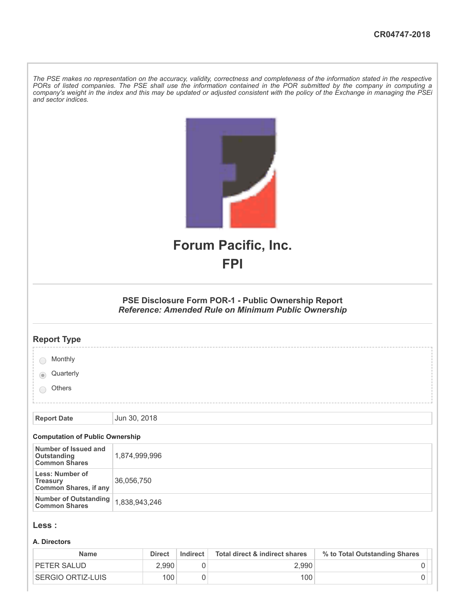The PSE makes no representation on the accuracy, validity, correctness and completeness of the information stated in the respective PORs of listed companies. The PSE shall use the information contained in the POR submitted by the company in computing a company's weight in the index and this may be updated or adjusted consistent with the policy of the Exchange in managing the PSEi *and sector indices.*

|                                                                    | <b>Forum Pacific, Inc.</b>                                                                                 |
|--------------------------------------------------------------------|------------------------------------------------------------------------------------------------------------|
|                                                                    | <b>FPI</b>                                                                                                 |
|                                                                    |                                                                                                            |
|                                                                    | PSE Disclosure Form POR-1 - Public Ownership Report<br>Reference: Amended Rule on Minimum Public Ownership |
| <b>Report Type</b>                                                 |                                                                                                            |
| Monthly                                                            |                                                                                                            |
| Quarterly                                                          |                                                                                                            |
| Others                                                             |                                                                                                            |
|                                                                    |                                                                                                            |
| <b>Report Date</b>                                                 | Jun 30, 2018                                                                                               |
| <b>Computation of Public Ownership</b>                             |                                                                                                            |
| Number of Issued and<br><b>Outstanding<br/>Common Shares</b>       | 1,874,999,996                                                                                              |
| Less: Number of<br><b>Treasury</b><br><b>Common Shares, if any</b> | 36,056,750                                                                                                 |
| <b>Number of Outstanding</b><br><b>Common Shares</b>               | 1,838,943,246                                                                                              |
| Less :                                                             |                                                                                                            |

#### **A. Directors**

| <b>Name</b>        | <b>Direct</b> | Indirect | Total direct & indirect shares | % to Total Outstanding Shares |
|--------------------|---------------|----------|--------------------------------|-------------------------------|
| <b>PETER SALUD</b> | 2.990         |          | 2.990                          |                               |
| SERGIO ORTIZ-LUIS  | 100           |          | 100 <sub>1</sub>               |                               |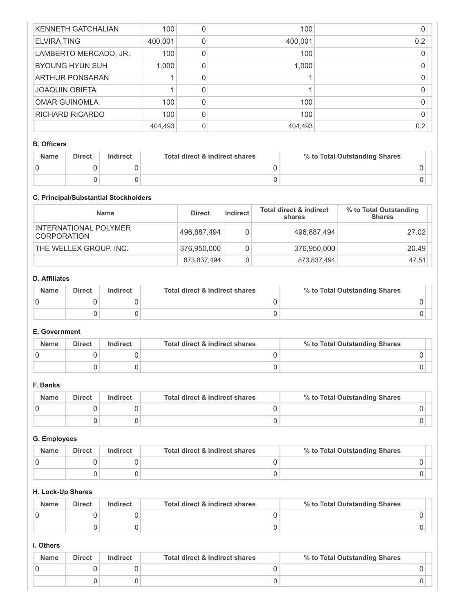| KENNETH GATCHALIAN     | 100     |   | 100     |     |
|------------------------|---------|---|---------|-----|
| <b>ELVIRA TING</b>     | 400,001 |   | 400,001 | 0.2 |
| LAMBERTO MERCADO, JR.  | 100     |   | 100     |     |
| <b>BYOUNG HYUN SUH</b> | 1.000   |   | 1,000   |     |
| ARTHUR PONSARAN        |         |   |         |     |
| <b>JOAQUIN OBIETA</b>  |         |   |         |     |
| <b>OMAR GUINOMLA</b>   | 100     |   | 100     |     |
| RICHARD RICARDO        | 100     |   | 100     |     |
|                        | 404,493 | 0 | 404,493 | 0.2 |

#### **B. Officers**

| <b>Name</b> | <b>Direct</b> | Indirect | Total direct & indirect shares | % to Total Outstanding Shares |
|-------------|---------------|----------|--------------------------------|-------------------------------|
|             |               |          |                                |                               |
|             |               |          |                                |                               |

# **C. Principal/Substantial Stockholders**

| <b>Name</b>                                 | <b>Direct</b> | Indirect | <b>Total direct &amp; indirect</b><br>shares | % to Total Outstanding<br><b>Shares</b> |
|---------------------------------------------|---------------|----------|----------------------------------------------|-----------------------------------------|
| INTERNATIONAL POLYMER<br><b>CORPORATION</b> | 496,887,494   |          | 496,887,494                                  | 27.02                                   |
| THE WELLEX GROUP, INC.                      | 376,950,000   |          | 376,950,000                                  | 20.49                                   |
|                                             | 873,837,494   |          | 873,837,494                                  | 47.51                                   |

#### **D. Affiliates**

| <b>Name</b> | <b>Direct</b> | Indirect | Total direct & indirect shares | % to Total Outstanding Shares |
|-------------|---------------|----------|--------------------------------|-------------------------------|
|             |               |          |                                |                               |
|             |               |          |                                |                               |

### **E. Government**

| <b>Name</b> | <b>Direct</b> | Indirect | Total direct & indirect shares | % to Total Outstanding Shares |
|-------------|---------------|----------|--------------------------------|-------------------------------|
|             |               |          |                                |                               |
|             |               |          |                                |                               |

## **F. Banks**

| <b>Name</b> | <b>Direct</b> | Indirect | Total direct & indirect shares | % to Total Outstanding Shares |
|-------------|---------------|----------|--------------------------------|-------------------------------|
|             |               |          |                                |                               |
|             |               |          |                                |                               |

# **G. Employees**

| <b>Name</b> | <b>Direct</b> | Indirect | Total direct & indirect shares | % to Total Outstanding Shares |
|-------------|---------------|----------|--------------------------------|-------------------------------|
|             |               |          |                                |                               |
|             |               |          |                                |                               |

# **H. Lock-Up Shares**

| <b>Name</b> | <b>Direct</b> | Indirect | Total direct & indirect shares | % to Total Outstanding Shares |
|-------------|---------------|----------|--------------------------------|-------------------------------|
|             |               |          |                                |                               |
|             |               |          |                                |                               |

# **I. Others**

| <b>Name</b> | <b>Direct</b> | Indirect | Total direct & indirect shares | % to Total Outstanding Shares |
|-------------|---------------|----------|--------------------------------|-------------------------------|
|             |               |          |                                |                               |
|             |               |          |                                |                               |